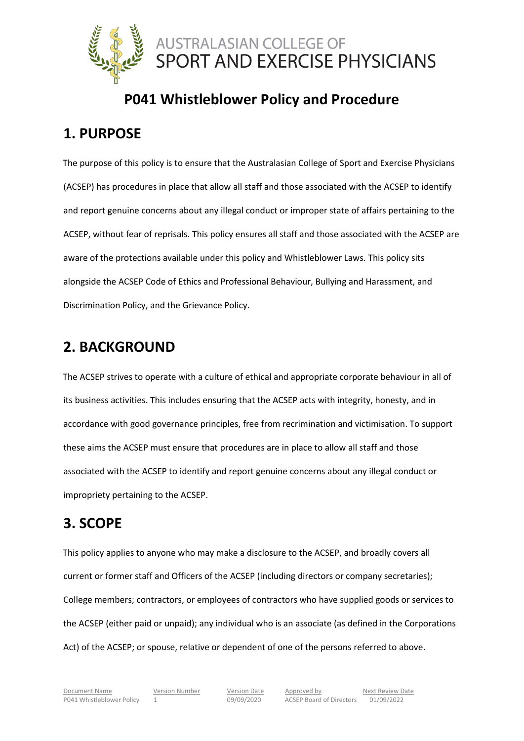

## **P041 Whistleblower Policy and Procedure**

## **1. PURPOSE**

The purpose of this policy is to ensure that the Australasian College of Sport and Exercise Physicians (ACSEP) has procedures in place that allow all staff and those associated with the ACSEP to identify and report genuine concerns about any illegal conduct or improper state of affairs pertaining to the ACSEP, without fear of reprisals. This policy ensures all staff and those associated with the ACSEP are aware of the protections available under this policy and Whistleblower Laws. This policy sits alongside the ACSEP Code of Ethics and Professional Behaviour, Bullying and Harassment, and Discrimination Policy, and the Grievance Policy.

## **2. BACKGROUND**

The ACSEP strives to operate with a culture of ethical and appropriate corporate behaviour in all of its business activities. This includes ensuring that the ACSEP acts with integrity, honesty, and in accordance with good governance principles, free from recrimination and victimisation. To support these aims the ACSEP must ensure that procedures are in place to allow all staff and those associated with the ACSEP to identify and report genuine concerns about any illegal conduct or impropriety pertaining to the ACSEP.

## **3. SCOPE**

This policy applies to anyone who may make a disclosure to the ACSEP, and broadly covers all current or former staff and Officers of the ACSEP (including directors or company secretaries); College members; contractors, or employees of contractors who have supplied goods or services to the ACSEP (either paid or unpaid); any individual who is an associate (as defined in the Corporations Act) of the ACSEP; or spouse, relative or dependent of one of the persons referred to above.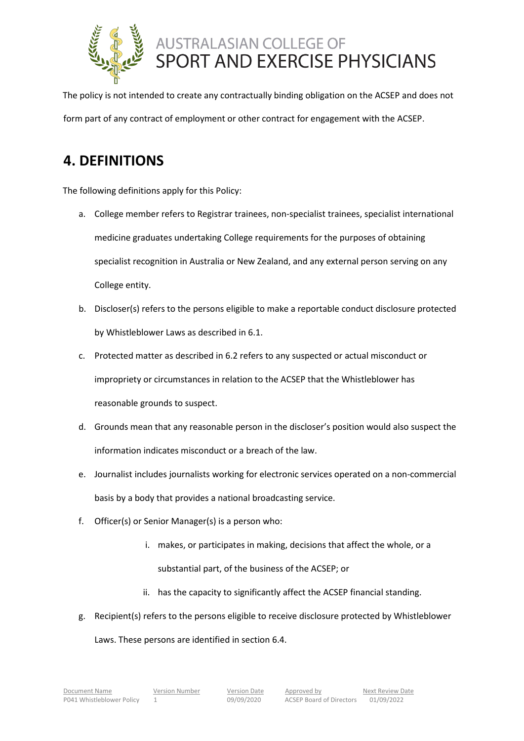

The policy is not intended to create any contractually binding obligation on the ACSEP and does not form part of any contract of employment or other contract for engagement with the ACSEP.

## **4. DEFINITIONS**

The following definitions apply for this Policy:

- a. College member refers to Registrar trainees, non-specialist trainees, specialist international medicine graduates undertaking College requirements for the purposes of obtaining specialist recognition in Australia or New Zealand, and any external person serving on any College entity.
- b. Discloser(s) refers to the persons eligible to make a reportable conduct disclosure protected by Whistleblower Laws as described in 6.1.
- c. Protected matter as described in 6.2 refers to any suspected or actual misconduct or impropriety or circumstances in relation to the ACSEP that the Whistleblower has reasonable grounds to suspect.
- d. Grounds mean that any reasonable person in the discloser's position would also suspect the information indicates misconduct or a breach of the law.
- e. Journalist includes journalists working for electronic services operated on a non-commercial basis by a body that provides a national broadcasting service.
- f. Officer(s) or Senior Manager(s) is a person who:
	- i. makes, or participates in making, decisions that affect the whole, or a substantial part, of the business of the ACSEP; or
	- ii. has the capacity to significantly affect the ACSEP financial standing.
- g. Recipient(s) refers to the persons eligible to receive disclosure protected by Whistleblower

Laws. These persons are identified in section 6.4.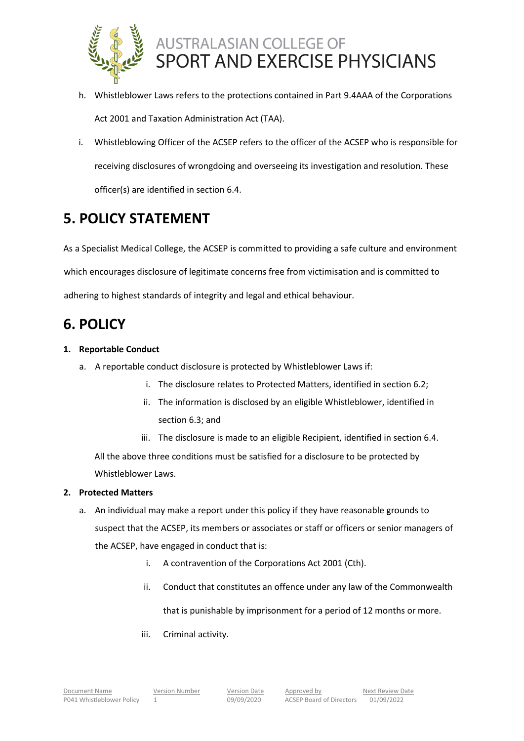

- h. Whistleblower Laws refers to the protections contained in Part 9.4AAA of the Corporations Act 2001 and Taxation Administration Act (TAA).
- i. Whistleblowing Officer of the ACSEP refers to the officer of the ACSEP who is responsible for receiving disclosures of wrongdoing and overseeing its investigation and resolution. These officer(s) are identified in section 6.4.

## **5. POLICY STATEMENT**

As a Specialist Medical College, the ACSEP is committed to providing a safe culture and environment which encourages disclosure of legitimate concerns free from victimisation and is committed to adhering to highest standards of integrity and legal and ethical behaviour.

## **6. POLICY**

## **1. Reportable Conduct**

- a. A reportable conduct disclosure is protected by Whistleblower Laws if:
	- i. The disclosure relates to Protected Matters, identified in section 6.2;
	- ii. The information is disclosed by an eligible Whistleblower, identified in section 6.3; and

iii. The disclosure is made to an eligible Recipient, identified in section 6.4. All the above three conditions must be satisfied for a disclosure to be protected by Whistleblower Laws.

## **2. Protected Matters**

- a. An individual may make a report under this policy if they have reasonable grounds to suspect that the ACSEP, its members or associates or staff or officers or senior managers of the ACSEP, have engaged in conduct that is:
	- i. A contravention of the Corporations Act 2001 (Cth).
	- ii. Conduct that constitutes an offence under any law of the Commonwealth that is punishable by imprisonment for a period of 12 months or more.
	- iii. Criminal activity.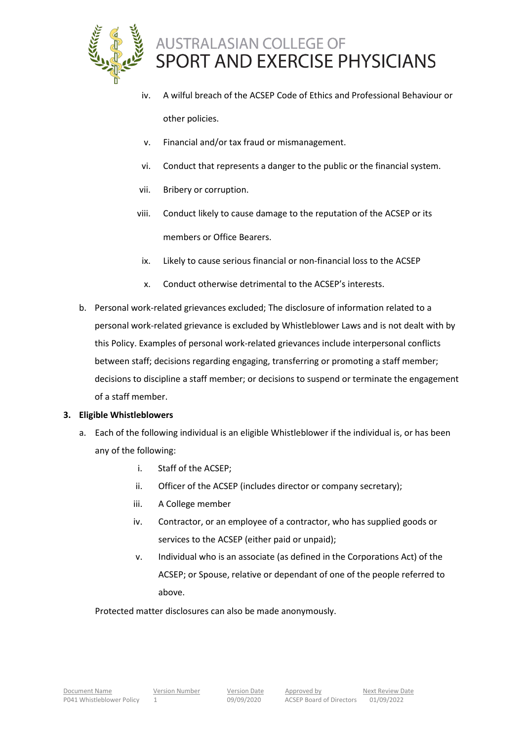

- iv. A wilful breach of the ACSEP Code of Ethics and Professional Behaviour or other policies.
- v. Financial and/or tax fraud or mismanagement.
- vi. Conduct that represents a danger to the public or the financial system.
- vii. Bribery or corruption.
- viii. Conduct likely to cause damage to the reputation of the ACSEP or its members or Office Bearers.
	- ix. Likely to cause serious financial or non-financial loss to the ACSEP
	- x. Conduct otherwise detrimental to the ACSEP's interests.
- b. Personal work-related grievances excluded; The disclosure of information related to a personal work-related grievance is excluded by Whistleblower Laws and is not dealt with by this Policy. Examples of personal work-related grievances include interpersonal conflicts between staff; decisions regarding engaging, transferring or promoting a staff member; decisions to discipline a staff member; or decisions to suspend or terminate the engagement of a staff member.

### **3. Eligible Whistleblowers**

- a. Each of the following individual is an eligible Whistleblower if the individual is, or has been any of the following:
	- i. Staff of the ACSEP;
	- ii. Officer of the ACSEP (includes director or company secretary);
	- iii. A College member
	- iv. Contractor, or an employee of a contractor, who has supplied goods or services to the ACSEP (either paid or unpaid);
	- v. Individual who is an associate (as defined in the Corporations Act) of the ACSEP; or Spouse, relative or dependant of one of the people referred to above.

Protected matter disclosures can also be made anonymously.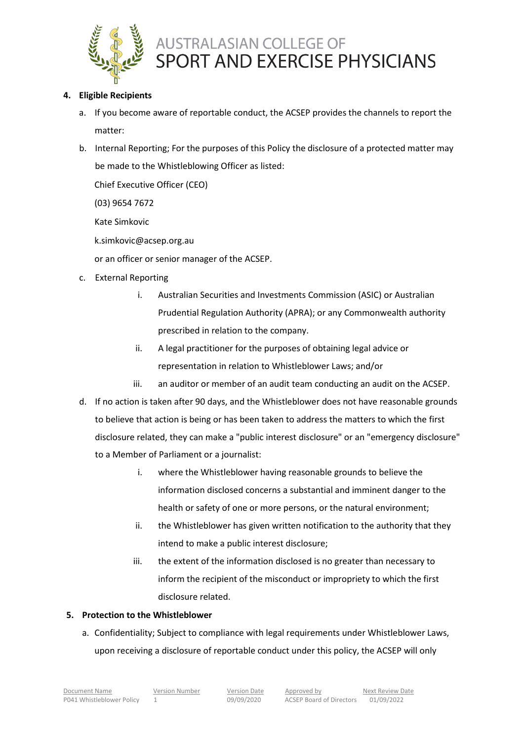

### **4. Eligible Recipients**

- a. If you become aware of reportable conduct, the ACSEP provides the channels to report the matter:
- b. Internal Reporting; For the purposes of this Policy the disclosure of a protected matter may be made to the Whistleblowing Officer as listed:

Chief Executive Officer (CEO)

(03) 9654 7672

Kate Simkovic

k.simkovic@acsep.org.au

or an officer or senior manager of the ACSEP.

- c. External Reporting
	- i. Australian Securities and Investments Commission (ASIC) or Australian Prudential Regulation Authority (APRA); or any Commonwealth authority prescribed in relation to the company.
	- ii. A legal practitioner for the purposes of obtaining legal advice or representation in relation to Whistleblower Laws; and/or
	- iii. an auditor or member of an audit team conducting an audit on the ACSEP.
- d. If no action is taken after 90 days, and the Whistleblower does not have reasonable grounds to believe that action is being or has been taken to address the matters to which the first disclosure related, they can make a "public interest disclosure" or an "emergency disclosure" to a Member of Parliament or a journalist:
	- i. where the Whistleblower having reasonable grounds to believe the information disclosed concerns a substantial and imminent danger to the health or safety of one or more persons, or the natural environment;
	- ii. the Whistleblower has given written notification to the authority that they intend to make a public interest disclosure;
	- iii. the extent of the information disclosed is no greater than necessary to inform the recipient of the misconduct or impropriety to which the first disclosure related.

### **5. Protection to the Whistleblower**

a. Confidentiality; Subject to compliance with legal requirements under Whistleblower Laws, upon receiving a disclosure of reportable conduct under this policy, the ACSEP will only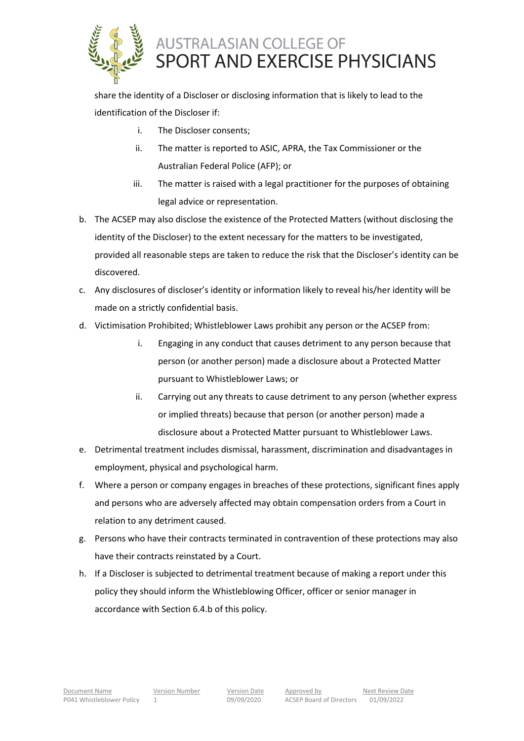

share the identity of a Discloser or disclosing information that is likely to lead to the identification of the Discloser if:

- i. The Discloser consents;
- ii. The matter is reported to ASIC, APRA, the Tax Commissioner or the Australian Federal Police (AFP); or
- iii. The matter is raised with a legal practitioner for the purposes of obtaining legal advice or representation.
- b. The ACSEP may also disclose the existence of the Protected Matters (without disclosing the identity of the Discloser) to the extent necessary for the matters to be investigated, provided all reasonable steps are taken to reduce the risk that the Discloser's identity can be discovered.
- c. Any disclosures of discloser's identity or information likely to reveal his/her identity will be made on a strictly confidential basis.
- d. Victimisation Prohibited; Whistleblower Laws prohibit any person or the ACSEP from:
	- i. Engaging in any conduct that causes detriment to any person because that person (or another person) made a disclosure about a Protected Matter pursuant to Whistleblower Laws; or
	- ii. Carrying out any threats to cause detriment to any person (whether express or implied threats) because that person (or another person) made a disclosure about a Protected Matter pursuant to Whistleblower Laws.
- e. Detrimental treatment includes dismissal, harassment, discrimination and disadvantages in employment, physical and psychological harm.
- f. Where a person or company engages in breaches of these protections, significant fines apply and persons who are adversely affected may obtain compensation orders from a Court in relation to any detriment caused.
- g. Persons who have their contracts terminated in contravention of these protections may also have their contracts reinstated by a Court.
- h. If a Discloser is subjected to detrimental treatment because of making a report under this policy they should inform the Whistleblowing Officer, officer or senior manager in accordance with Section 6.4.b of this policy.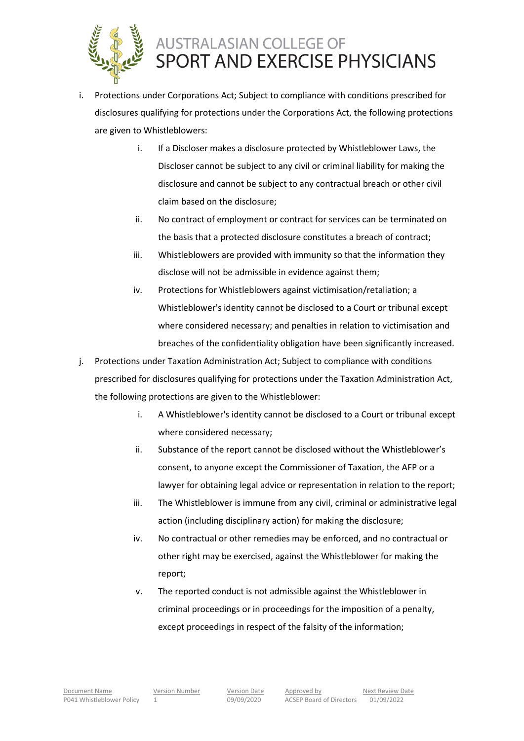

- i. Protections under Corporations Act; Subject to compliance with conditions prescribed for disclosures qualifying for protections under the Corporations Act, the following protections are given to Whistleblowers:
	- i. If a Discloser makes a disclosure protected by Whistleblower Laws, the Discloser cannot be subject to any civil or criminal liability for making the disclosure and cannot be subject to any contractual breach or other civil claim based on the disclosure;
	- ii. No contract of employment or contract for services can be terminated on the basis that a protected disclosure constitutes a breach of contract;
	- iii. Whistleblowers are provided with immunity so that the information they disclose will not be admissible in evidence against them;
	- iv. Protections for Whistleblowers against victimisation/retaliation; a Whistleblower's identity cannot be disclosed to a Court or tribunal except where considered necessary; and penalties in relation to victimisation and breaches of the confidentiality obligation have been significantly increased.
- j. Protections under Taxation Administration Act; Subject to compliance with conditions prescribed for disclosures qualifying for protections under the Taxation Administration Act, the following protections are given to the Whistleblower:
	- i. A Whistleblower's identity cannot be disclosed to a Court or tribunal except where considered necessary;
	- ii. Substance of the report cannot be disclosed without the Whistleblower's consent, to anyone except the Commissioner of Taxation, the AFP or a lawyer for obtaining legal advice or representation in relation to the report;
	- iii. The Whistleblower is immune from any civil, criminal or administrative legal action (including disciplinary action) for making the disclosure;
	- iv. No contractual or other remedies may be enforced, and no contractual or other right may be exercised, against the Whistleblower for making the report;
	- v. The reported conduct is not admissible against the Whistleblower in criminal proceedings or in proceedings for the imposition of a penalty, except proceedings in respect of the falsity of the information;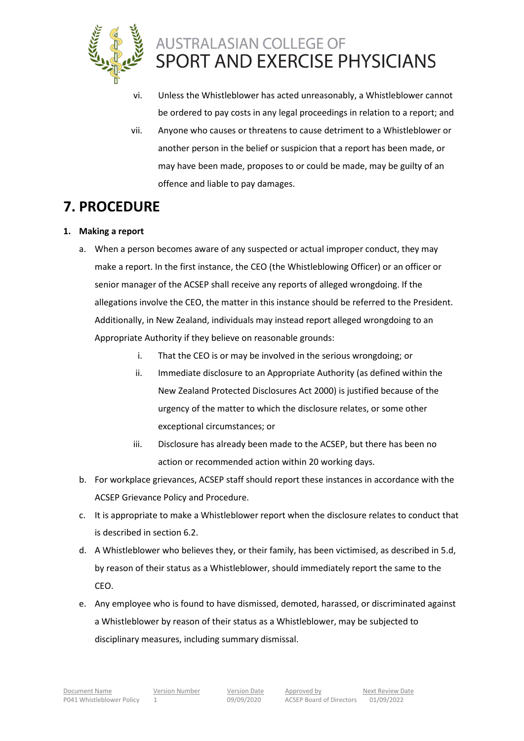

- vi. Unless the Whistleblower has acted unreasonably, a Whistleblower cannot be ordered to pay costs in any legal proceedings in relation to a report; and
- vii. Anyone who causes or threatens to cause detriment to a Whistleblower or another person in the belief or suspicion that a report has been made, or may have been made, proposes to or could be made, may be guilty of an offence and liable to pay damages.

## **7. PROCEDURE**

## **1. Making a report**

- a. When a person becomes aware of any suspected or actual improper conduct, they may make a report. In the first instance, the CEO (the Whistleblowing Officer) or an officer or senior manager of the ACSEP shall receive any reports of alleged wrongdoing. If the allegations involve the CEO, the matter in this instance should be referred to the President. Additionally, in New Zealand, individuals may instead report alleged wrongdoing to an Appropriate Authority if they believe on reasonable grounds:
	- i. That the CEO is or may be involved in the serious wrongdoing; or
	- ii. Immediate disclosure to an Appropriate Authority (as defined within the New Zealand Protected Disclosures Act 2000) is justified because of the urgency of the matter to which the disclosure relates, or some other exceptional circumstances; or
	- iii. Disclosure has already been made to the ACSEP, but there has been no action or recommended action within 20 working days.
- b. For workplace grievances, ACSEP staff should report these instances in accordance with the ACSEP Grievance Policy and Procedure.
- c. It is appropriate to make a Whistleblower report when the disclosure relates to conduct that is described in section 6.2.
- d. A Whistleblower who believes they, or their family, has been victimised, as described in 5.d, by reason of their status as a Whistleblower, should immediately report the same to the CEO.
- e. Any employee who is found to have dismissed, demoted, harassed, or discriminated against a Whistleblower by reason of their status as a Whistleblower, may be subjected to disciplinary measures, including summary dismissal.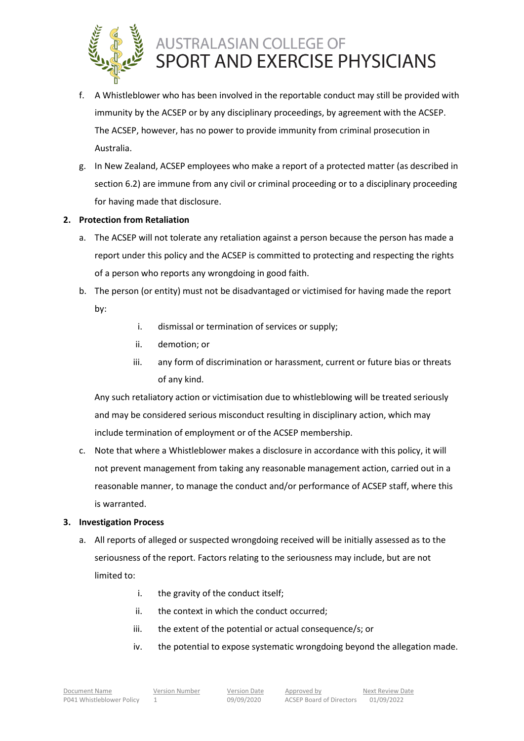

- f. A Whistleblower who has been involved in the reportable conduct may still be provided with immunity by the ACSEP or by any disciplinary proceedings, by agreement with the ACSEP. The ACSEP, however, has no power to provide immunity from criminal prosecution in Australia.
- g. In New Zealand, ACSEP employees who make a report of a protected matter (as described in section 6.2) are immune from any civil or criminal proceeding or to a disciplinary proceeding for having made that disclosure.

### **2. Protection from Retaliation**

- a. The ACSEP will not tolerate any retaliation against a person because the person has made a report under this policy and the ACSEP is committed to protecting and respecting the rights of a person who reports any wrongdoing in good faith.
- b. The person (or entity) must not be disadvantaged or victimised for having made the report by:
	- i. dismissal or termination of services or supply;
	- ii. demotion; or
	- iii. any form of discrimination or harassment, current or future bias or threats of any kind.

Any such retaliatory action or victimisation due to whistleblowing will be treated seriously and may be considered serious misconduct resulting in disciplinary action, which may include termination of employment or of the ACSEP membership.

c. Note that where a Whistleblower makes a disclosure in accordance with this policy, it will not prevent management from taking any reasonable management action, carried out in a reasonable manner, to manage the conduct and/or performance of ACSEP staff, where this is warranted.

#### **3. Investigation Process**

- a. All reports of alleged or suspected wrongdoing received will be initially assessed as to the seriousness of the report. Factors relating to the seriousness may include, but are not limited to:
	- i. the gravity of the conduct itself;
	- ii. the context in which the conduct occurred;
	- iii. the extent of the potential or actual consequence/s; or
	- iv. the potential to expose systematic wrongdoing beyond the allegation made.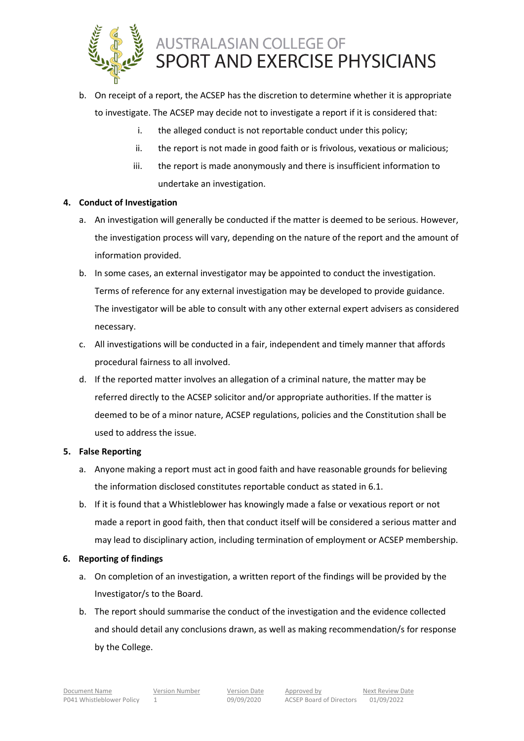

- b. On receipt of a report, the ACSEP has the discretion to determine whether it is appropriate to investigate. The ACSEP may decide not to investigate a report if it is considered that:
	- i. the alleged conduct is not reportable conduct under this policy;
	- ii. the report is not made in good faith or is frivolous, vexatious or malicious;
	- iii. the report is made anonymously and there is insufficient information to undertake an investigation.

## **4. Conduct of Investigation**

- a. An investigation will generally be conducted if the matter is deemed to be serious. However, the investigation process will vary, depending on the nature of the report and the amount of information provided.
- b. In some cases, an external investigator may be appointed to conduct the investigation. Terms of reference for any external investigation may be developed to provide guidance. The investigator will be able to consult with any other external expert advisers as considered necessary.
- c. All investigations will be conducted in a fair, independent and timely manner that affords procedural fairness to all involved.
- d. If the reported matter involves an allegation of a criminal nature, the matter may be referred directly to the ACSEP solicitor and/or appropriate authorities. If the matter is deemed to be of a minor nature, ACSEP regulations, policies and the Constitution shall be used to address the issue.

### **5. False Reporting**

- a. Anyone making a report must act in good faith and have reasonable grounds for believing the information disclosed constitutes reportable conduct as stated in 6.1.
- b. If it is found that a Whistleblower has knowingly made a false or vexatious report or not made a report in good faith, then that conduct itself will be considered a serious matter and may lead to disciplinary action, including termination of employment or ACSEP membership.

### **6. Reporting of findings**

- a. On completion of an investigation, a written report of the findings will be provided by the Investigator/s to the Board.
- b. The report should summarise the conduct of the investigation and the evidence collected and should detail any conclusions drawn, as well as making recommendation/s for response by the College.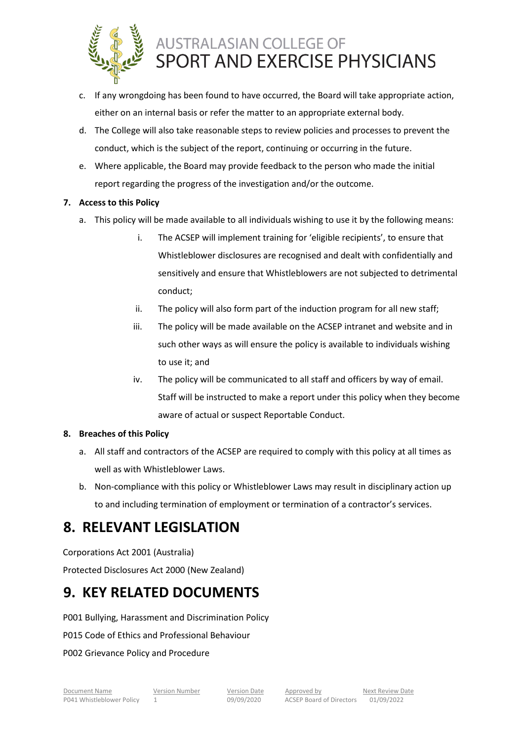

- c. If any wrongdoing has been found to have occurred, the Board will take appropriate action, either on an internal basis or refer the matter to an appropriate external body.
- d. The College will also take reasonable steps to review policies and processes to prevent the conduct, which is the subject of the report, continuing or occurring in the future.
- e. Where applicable, the Board may provide feedback to the person who made the initial report regarding the progress of the investigation and/or the outcome.

## **7. Access to this Policy**

- a. This policy will be made available to all individuals wishing to use it by the following means:
	- i. The ACSEP will implement training for 'eligible recipients', to ensure that Whistleblower disclosures are recognised and dealt with confidentially and sensitively and ensure that Whistleblowers are not subjected to detrimental conduct;
	- ii. The policy will also form part of the induction program for all new staff;
	- iii. The policy will be made available on the ACSEP intranet and website and in such other ways as will ensure the policy is available to individuals wishing to use it; and
	- iv. The policy will be communicated to all staff and officers by way of email. Staff will be instructed to make a report under this policy when they become aware of actual or suspect Reportable Conduct.

### **8. Breaches of this Policy**

- a. All staff and contractors of the ACSEP are required to comply with this policy at all times as well as with Whistleblower Laws.
- b. Non-compliance with this policy or Whistleblower Laws may result in disciplinary action up to and including termination of employment or termination of a contractor's services.

## **8. RELEVANT LEGISLATION**

Corporations Act 2001 (Australia)

Protected Disclosures Act 2000 (New Zealand)

## **9. KEY RELATED DOCUMENTS**

P001 Bullying, Harassment and Discrimination Policy

P015 Code of Ethics and Professional Behaviour

P002 Grievance Policy and Procedure